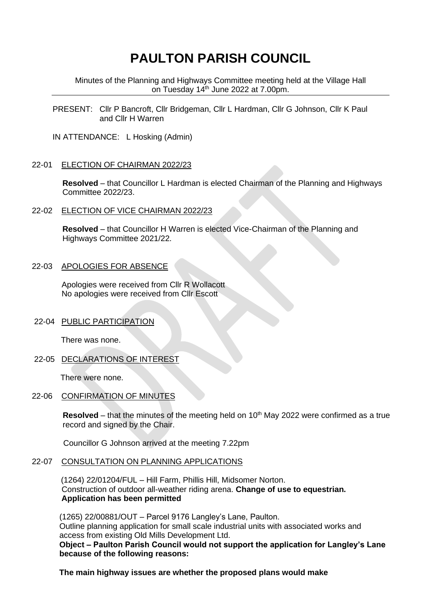# **PAULTON PARISH COUNCIL**

Minutes of the Planning and Highways Committee meeting held at the Village Hall on Tuesday 14<sup>th</sup> June 2022 at 7.00pm.

PRESENT: Cllr P Bancroft, Cllr Bridgeman, Cllr L Hardman, Cllr G Johnson, Cllr K Paul and Cllr H Warren

IN ATTENDANCE: L Hosking (Admin)

#### 22-01 ELECTION OF CHAIRMAN 2022/23

 **Resolved** – that Councillor L Hardman is elected Chairman of the Planning and Highways Committee 2022/23.

#### 22-02 ELECTION OF VICE CHAIRMAN 2022/23

 **Resolved** – that Councillor H Warren is elected Vice-Chairman of the Planning and Highways Committee 2021/22.

#### 22-03 APOLOGIES FOR ABSENCE

 Apologies were received from Cllr R Wollacott No apologies were received from Cllr Escott

## 22-04 PUBLIC PARTICIPATION

There was none.

22-05 DECLARATIONS OF INTEREST

There were none.

# 22-06 CONFIRMATION OF MINUTES

**Resolved** – that the minutes of the meeting held on 10<sup>th</sup> May 2022 were confirmed as a true record and signed by the Chair.

Councillor G Johnson arrived at the meeting 7.22pm

### 22-07 CONSULTATION ON PLANNING APPLICATIONS

 (1264) 22/01204/FUL – Hill Farm, Phillis Hill, Midsomer Norton. Construction of outdoor all-weather riding arena. **Change of use to equestrian. Application has been permitted**

(1265) 22/00881/OUT – Parcel 9176 Langley's Lane, Paulton. Outline planning application for small scale industrial units with associated works and access from existing Old Mills Development Ltd. **Object – Paulton Parish Council would not support the application for Langley's Lane because of the following reasons:**

 **The main highway issues are whether the proposed plans would make**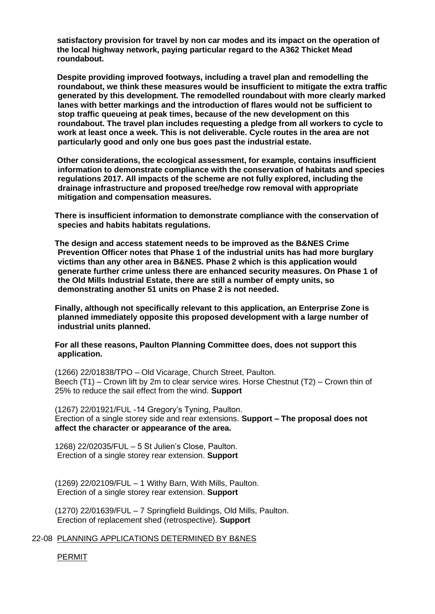**satisfactory provision for travel by non car modes and its impact on the operation of the local highway network, paying particular regard to the A362 Thicket Mead roundabout.**

**Despite providing improved footways, including a travel plan and remodelling the roundabout, we think these measures would be insufficient to mitigate the extra traffic generated by this development. The remodelled roundabout with more clearly marked lanes with better markings and the introduction of flares would not be sufficient to stop traffic queueing at peak times, because of the new development on this roundabout. The travel plan includes requesting a pledge from all workers to cycle to work at least once a week. This is not deliverable. Cycle routes in the area are not particularly good and only one bus goes past the industrial estate.**

 **Other considerations, the ecological assessment, for example, contains insufficient information to demonstrate compliance with the conservation of habitats and species regulations 2017. All impacts of the scheme are not fully explored, including the drainage infrastructure and proposed tree/hedge row removal with appropriate mitigation and compensation measures.**

**There is insufficient information to demonstrate compliance with the conservation of species and habits habitats regulations.**

**The design and access statement needs to be improved as the B&NES Crime Prevention Officer notes that Phase 1 of the industrial units has had more burglary victims than any other area in B&NES. Phase 2 which is this application would generate further crime unless there are enhanced security measures. On Phase 1 of the Old Mills Industrial Estate, there are still a number of empty units, so demonstrating another 51 units on Phase 2 is not needed.**

**Finally, although not specifically relevant to this application, an Enterprise Zone is planned immediately opposite this proposed development with a large number of industrial units planned.**

**For all these reasons, Paulton Planning Committee does, does not support this application.**

(1266) 22/01838/TPO – Old Vicarage, Church Street, Paulton. Beech (T1) – Crown lift by 2m to clear service wires. Horse Chestnut (T2) – Crown thin of 25% to reduce the sail effect from the wind. **Support**

(1267) 22/01921/FUL -14 Gregory's Tyning, Paulton. Erection of a single storey side and rear extensions. **Support – The proposal does not affect the character or appearance of the area.**

1268) 22/02035/FUL – 5 St Julien's Close, Paulton. Erection of a single storey rear extension. **Support**

(1269) 22/02109/FUL – 1 Withy Barn, With Mills, Paulton. Erection of a single storey rear extension. **Support**

(1270) 22/01639/FUL – 7 Springfield Buildings, Old Mills, Paulton. Erection of replacement shed (retrospective). **Support**

22-08 PLANNING APPLICATIONS DETERMINED BY B&NES

PERMIT